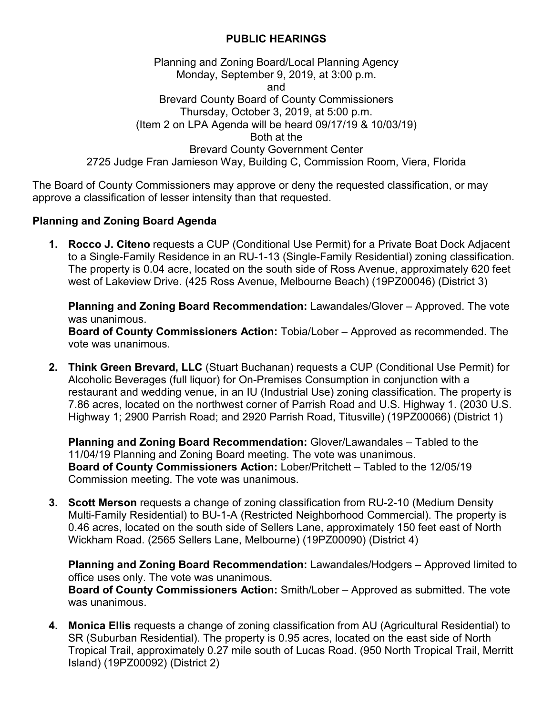## **PUBLIC HEARINGS**

## Planning and Zoning Board/Local Planning Agency Monday, September 9, 2019, at 3:00 p.m. and Brevard County Board of County Commissioners Thursday, October 3, 2019, at 5:00 p.m. (Item 2 on LPA Agenda will be heard 09/17/19 & 10/03/19) Both at the Brevard County Government Center 2725 Judge Fran Jamieson Way, Building C, Commission Room, Viera, Florida

The Board of County Commissioners may approve or deny the requested classification, or may approve a classification of lesser intensity than that requested.

## **Planning and Zoning Board Agenda**

**1. Rocco J. Citeno** requests a CUP (Conditional Use Permit) for a Private Boat Dock Adjacent to a Single-Family Residence in an RU-1-13 (Single-Family Residential) zoning classification. The property is 0.04 acre, located on the south side of Ross Avenue, approximately 620 feet west of Lakeview Drive. (425 Ross Avenue, Melbourne Beach) (19PZ00046) (District 3)

**Planning and Zoning Board Recommendation:** Lawandales/Glover – Approved. The vote was unanimous.

**Board of County Commissioners Action:** Tobia/Lober – Approved as recommended. The vote was unanimous.

**2. Think Green Brevard, LLC** (Stuart Buchanan) requests a CUP (Conditional Use Permit) for Alcoholic Beverages (full liquor) for On-Premises Consumption in conjunction with a restaurant and wedding venue, in an IU (Industrial Use) zoning classification. The property is 7.86 acres, located on the northwest corner of Parrish Road and U.S. Highway 1. (2030 U.S. Highway 1; 2900 Parrish Road; and 2920 Parrish Road, Titusville) (19PZ00066) (District 1)

**Planning and Zoning Board Recommendation:** Glover/Lawandales – Tabled to the 11/04/19 Planning and Zoning Board meeting. The vote was unanimous. **Board of County Commissioners Action:** Lober/Pritchett – Tabled to the 12/05/19 Commission meeting. The vote was unanimous.

**3. Scott Merson** requests a change of zoning classification from RU-2-10 (Medium Density Multi-Family Residential) to BU-1-A (Restricted Neighborhood Commercial). The property is 0.46 acres, located on the south side of Sellers Lane, approximately 150 feet east of North Wickham Road. (2565 Sellers Lane, Melbourne) (19PZ00090) (District 4)

**Planning and Zoning Board Recommendation:** Lawandales/Hodgers – Approved limited to office uses only. The vote was unanimous. **Board of County Commissioners Action:** Smith/Lober – Approved as submitted. The vote was unanimous.

**4. Monica Ellis** requests a change of zoning classification from AU (Agricultural Residential) to SR (Suburban Residential). The property is 0.95 acres, located on the east side of North Tropical Trail, approximately 0.27 mile south of Lucas Road. (950 North Tropical Trail, Merritt Island) (19PZ00092) (District 2)